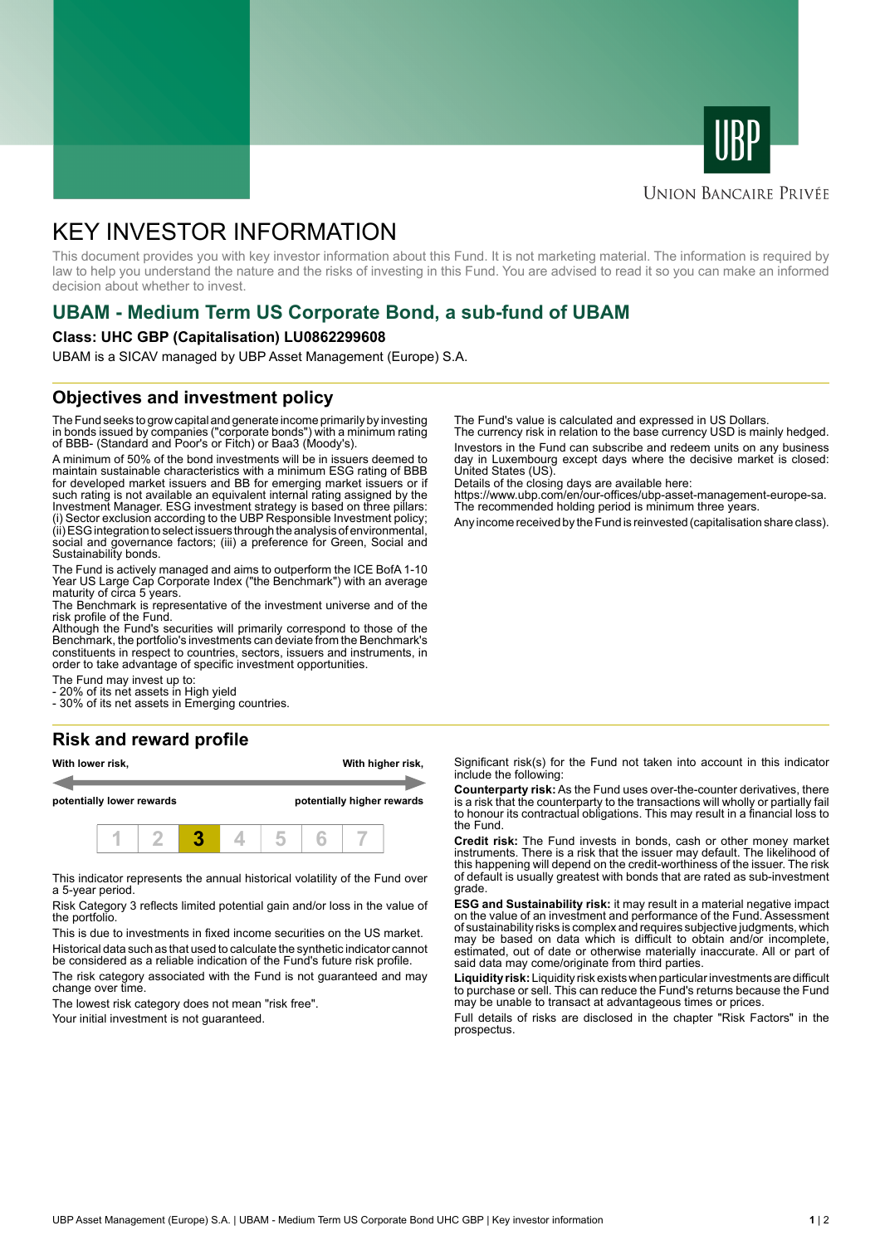



#### **UNION BANCAIRE PRIVÉE**

# KEY INVESTOR INFORMATION

This document provides you with key investor information about this Fund. It is not marketing material. The information is required by law to help you understand the nature and the risks of investing in this Fund. You are advised to read it so you can make an informed decision about whether to invest.

## **UBAM - Medium Term US Corporate Bond, a sub-fund of UBAM**

#### **Class: UHC GBP (Capitalisation) LU0862299608**

UBAM is a SICAV managed by UBP Asset Management (Europe) S.A.

#### **Objectives and investment policy**

The Fund seeks to grow capital and generate income primarily by investing in bonds issued by companies ("corporate bonds") with a minimum rating of BBB- (Standard and Poor's or Fitch) or Baa3 (Moody's).

A minimum of 50% of the bond investments will be in issuers deemed to maintain sustainable characteristics with a minimum ESG rating of BBB for developed market issuers and BB for emerging market issuers or if such rating is not available an equivalent internal rating assigned by the Investment Manager. ESG investment strategy is based on three pillars: (i) Sector exclusion according to the UBP Responsible Investment policy; (ii) ESG integration to select issuers through the analysis of environmental, social and governance factors; (iii) a preference for Green, Social and Sustainability bonds.

The Fund is actively managed and aims to outperform the ICE BofA 1-10 Year US Large Cap Corporate Index ("the Benchmark") with an average maturity of circa 5 years.

The Benchmark is representative of the investment universe and of the risk profile of the Fund.

Although the Fund's securities will primarily correspond to those of the Benchmark, the portfolio's investments can deviate from the Benchmark's constituents in respect to countries, sectors, issuers and instruments, in order to take advantage of specific investment opportunities.

The Fund may invest up to:

20% of its net assets in High yield

- 30% of its net assets in Emerging countries.

## **Risk and reward profile**

| With lower risk,          |  |  |  |  | With higher risk,          |  |  |  |  |
|---------------------------|--|--|--|--|----------------------------|--|--|--|--|
| potentially lower rewards |  |  |  |  | potentially higher rewards |  |  |  |  |
|                           |  |  |  |  |                            |  |  |  |  |

This indicator represents the annual historical volatility of the Fund over a 5-year period.

Risk Category 3 reflects limited potential gain and/or loss in the value of the portfolio.

This is due to investments in fixed income securities on the US market. Historical data such as that used to calculate the synthetic indicator cannot

be considered as a reliable indication of the Fund's future risk profile. The risk category associated with the Fund is not guaranteed and may change over time.

The lowest risk category does not mean "risk free".

Your initial investment is not guaranteed.

The Fund's value is calculated and expressed in US Dollars.

The currency risk in relation to the base currency USD is mainly hedged. Investors in the Fund can subscribe and redeem units on any business day in Luxembourg except days where the decisive market is closed: United States (US).

Details of the closing days are available here:

https://www.ubp.com/en/our-offices/ubp-asset-management-europe-sa. The recommended holding period is minimum three years.

Any income received by the Fund is reinvested (capitalisation share class).

Significant risk(s) for the Fund not taken into account in this indicator include the following:

**Counterparty risk:** As the Fund uses over-the-counter derivatives, there is a risk that the counterparty to the transactions will wholly or partially fail to honour its contractual obligations. This may result in a financial loss to the Fund.

**Credit risk:** The Fund invests in bonds, cash or other money market instruments. There is a risk that the issuer may default. The likelihood of this happening will depend on the credit-worthiness of the issuer. The risk of default is usually greatest with bonds that are rated as sub-investment grade.

**ESG and Sustainability risk:** it may result in a material negative impact on the value of an investment and performance of the Fund. Assessment of sustainability risks is complex and requires subjective judgments, which may be based on data which is difficult to obtain and/or incomplete, estimated, out of date or otherwise materially inaccurate. All or part of said data may come/originate from third parties.

**Liquidity risk:** Liquidity risk exists when particular investments are difficult to purchase or sell. This can reduce the Fund's returns because the Fund may be unable to transact at advantageous times or prices.

Full details of risks are disclosed in the chapter "Risk Factors" in the prospectus.